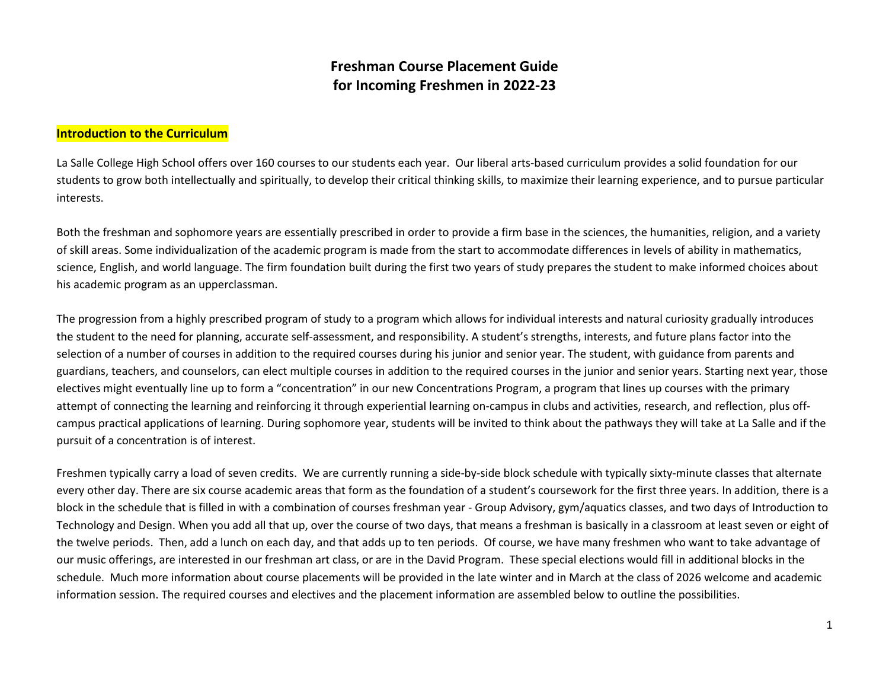## **Freshman Course Placement Guide for Incoming Freshmen in 2022-23**

## **Introduction to the Curriculum**

La Salle College High School offers over 160 courses to our students each year. Our liberal arts-based curriculum provides a solid foundation for our students to grow both intellectually and spiritually, to develop their critical thinking skills, to maximize their learning experience, and to pursue particular interests.

Both the freshman and sophomore years are essentially prescribed in order to provide a firm base in the sciences, the humanities, religion, and a variety of skill areas. Some individualization of the academic program is made from the start to accommodate differences in levels of ability in mathematics, science, English, and world language. The firm foundation built during the first two years of study prepares the student to make informed choices about his academic program as an upperclassman.

The progression from a highly prescribed program of study to a program which allows for individual interests and natural curiosity gradually introduces the student to the need for planning, accurate self-assessment, and responsibility. A student's strengths, interests, and future plans factor into the selection of a number of courses in addition to the required courses during his junior and senior year. The student, with guidance from parents and guardians, teachers, and counselors, can elect multiple courses in addition to the required courses in the junior and senior years. Starting next year, those electives might eventually line up to form a "concentration" in our new Concentrations Program, a program that lines up courses with the primary attempt of connecting the learning and reinforcing it through experiential learning on-campus in clubs and activities, research, and reflection, plus offcampus practical applications of learning. During sophomore year, students will be invited to think about the pathways they will take at La Salle and if the pursuit of a concentration is of interest.

Freshmen typically carry a load of seven credits. We are currently running a side-by-side block schedule with typically sixty-minute classes that alternate every other day. There are six course academic areas that form as the foundation of a student's coursework for the first three years. In addition, there is a block in the schedule that is filled in with a combination of courses freshman year - Group Advisory, gym/aquatics classes, and two days of Introduction to Technology and Design. When you add all that up, over the course of two days, that means a freshman is basically in a classroom at least seven or eight of the twelve periods. Then, add a lunch on each day, and that adds up to ten periods. Of course, we have many freshmen who want to take advantage of our music offerings, are interested in our freshman art class, or are in the David Program. These special elections would fill in additional blocks in the schedule. Much more information about course placements will be provided in the late winter and in March at the class of 2026 welcome and academic information session. The required courses and electives and the placement information are assembled below to outline the possibilities.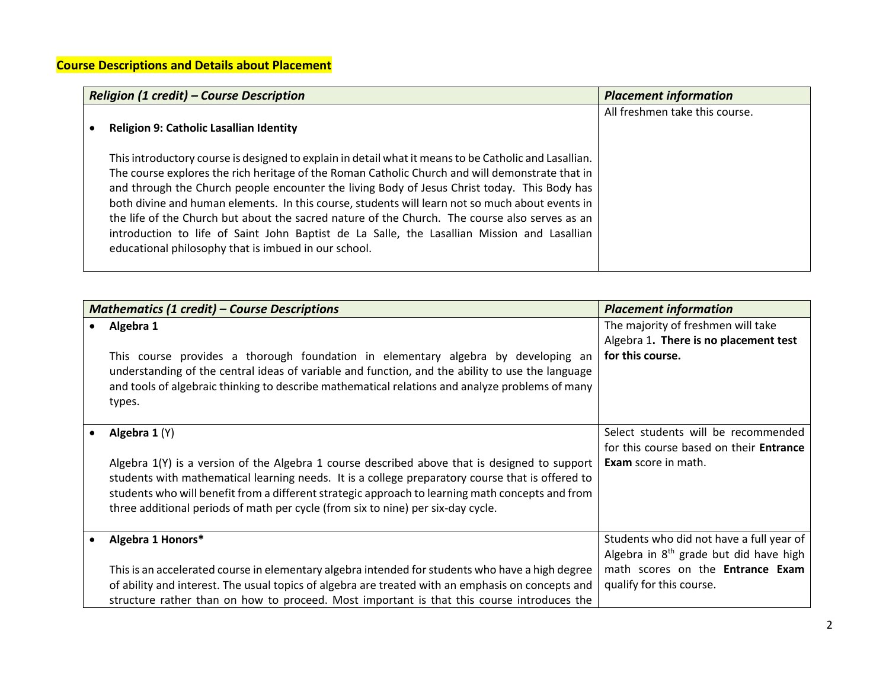| <b>Religion (1 credit) - Course Description</b>                                                                                                                                                                                                                                                                                                                                                                                                                                                                                                                                                                                                                      | <b>Placement information</b>   |
|----------------------------------------------------------------------------------------------------------------------------------------------------------------------------------------------------------------------------------------------------------------------------------------------------------------------------------------------------------------------------------------------------------------------------------------------------------------------------------------------------------------------------------------------------------------------------------------------------------------------------------------------------------------------|--------------------------------|
| <b>Religion 9: Catholic Lasallian Identity</b>                                                                                                                                                                                                                                                                                                                                                                                                                                                                                                                                                                                                                       | All freshmen take this course. |
| This introductory course is designed to explain in detail what it means to be Catholic and Lasallian.<br>The course explores the rich heritage of the Roman Catholic Church and will demonstrate that in<br>and through the Church people encounter the living Body of Jesus Christ today. This Body has<br>both divine and human elements. In this course, students will learn not so much about events in<br>the life of the Church but about the sacred nature of the Church. The course also serves as an<br>introduction to life of Saint John Baptist de La Salle, the Lasallian Mission and Lasallian<br>educational philosophy that is imbued in our school. |                                |

| <b>Mathematics (1 credit) – Course Descriptions</b>                                                                                                                                                                                                                                                                                                                                                          | <b>Placement information</b>                                                                                                                                |
|--------------------------------------------------------------------------------------------------------------------------------------------------------------------------------------------------------------------------------------------------------------------------------------------------------------------------------------------------------------------------------------------------------------|-------------------------------------------------------------------------------------------------------------------------------------------------------------|
| Algebra 1                                                                                                                                                                                                                                                                                                                                                                                                    | The majority of freshmen will take<br>Algebra 1. There is no placement test                                                                                 |
| This course provides a thorough foundation in elementary algebra by developing an<br>understanding of the central ideas of variable and function, and the ability to use the language<br>and tools of algebraic thinking to describe mathematical relations and analyze problems of many<br>types.                                                                                                           | for this course.                                                                                                                                            |
| Algebra 1 (Y)<br>Algebra $1(Y)$ is a version of the Algebra 1 course described above that is designed to support<br>students with mathematical learning needs. It is a college preparatory course that is offered to<br>students who will benefit from a different strategic approach to learning math concepts and from<br>three additional periods of math per cycle (from six to nine) per six-day cycle. | Select students will be recommended<br>for this course based on their Entrance<br>Exam score in math.                                                       |
| Algebra 1 Honors*<br>This is an accelerated course in elementary algebra intended for students who have a high degree<br>of ability and interest. The usual topics of algebra are treated with an emphasis on concepts and<br>structure rather than on how to proceed. Most important is that this course introduces the                                                                                     | Students who did not have a full year of<br>Algebra in $8th$ grade but did have high<br>math scores on the <b>Entrance Exam</b><br>qualify for this course. |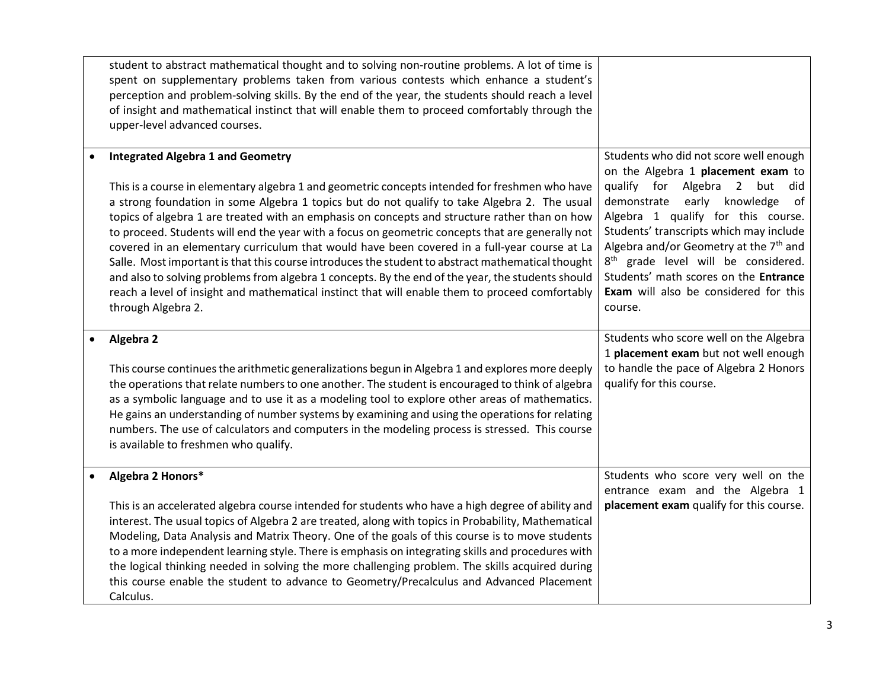| student to abstract mathematical thought and to solving non-routine problems. A lot of time is<br>spent on supplementary problems taken from various contests which enhance a student's<br>perception and problem-solving skills. By the end of the year, the students should reach a level<br>of insight and mathematical instinct that will enable them to proceed comfortably through the<br>upper-level advanced courses.                                                                                                                                                                                                                                                                                                                                                                                                                                                      |                                                                                                                                                                                                                                                                                                                                                                                                                                 |
|------------------------------------------------------------------------------------------------------------------------------------------------------------------------------------------------------------------------------------------------------------------------------------------------------------------------------------------------------------------------------------------------------------------------------------------------------------------------------------------------------------------------------------------------------------------------------------------------------------------------------------------------------------------------------------------------------------------------------------------------------------------------------------------------------------------------------------------------------------------------------------|---------------------------------------------------------------------------------------------------------------------------------------------------------------------------------------------------------------------------------------------------------------------------------------------------------------------------------------------------------------------------------------------------------------------------------|
| <b>Integrated Algebra 1 and Geometry</b><br>This is a course in elementary algebra 1 and geometric concepts intended for freshmen who have<br>a strong foundation in some Algebra 1 topics but do not qualify to take Algebra 2. The usual<br>topics of algebra 1 are treated with an emphasis on concepts and structure rather than on how<br>to proceed. Students will end the year with a focus on geometric concepts that are generally not<br>covered in an elementary curriculum that would have been covered in a full-year course at La<br>Salle. Most important is that this course introduces the student to abstract mathematical thought<br>and also to solving problems from algebra 1 concepts. By the end of the year, the students should<br>reach a level of insight and mathematical instinct that will enable them to proceed comfortably<br>through Algebra 2. | Students who did not score well enough<br>on the Algebra 1 placement exam to<br>qualify for Algebra 2 but<br>did<br>demonstrate early knowledge of<br>Algebra 1 qualify for this course.<br>Students' transcripts which may include<br>Algebra and/or Geometry at the $7th$ and<br>8 <sup>th</sup> grade level will be considered.<br>Students' math scores on the Entrance<br>Exam will also be considered for this<br>course. |
| Algebra 2<br>This course continues the arithmetic generalizations begun in Algebra 1 and explores more deeply<br>the operations that relate numbers to one another. The student is encouraged to think of algebra<br>as a symbolic language and to use it as a modeling tool to explore other areas of mathematics.<br>He gains an understanding of number systems by examining and using the operations for relating<br>numbers. The use of calculators and computers in the modeling process is stressed. This course<br>is available to freshmen who qualify.                                                                                                                                                                                                                                                                                                                   | Students who score well on the Algebra<br>1 placement exam but not well enough<br>to handle the pace of Algebra 2 Honors<br>qualify for this course.                                                                                                                                                                                                                                                                            |
| Algebra 2 Honors*<br>This is an accelerated algebra course intended for students who have a high degree of ability and<br>interest. The usual topics of Algebra 2 are treated, along with topics in Probability, Mathematical<br>Modeling, Data Analysis and Matrix Theory. One of the goals of this course is to move students<br>to a more independent learning style. There is emphasis on integrating skills and procedures with<br>the logical thinking needed in solving the more challenging problem. The skills acquired during<br>this course enable the student to advance to Geometry/Precalculus and Advanced Placement<br>Calculus.                                                                                                                                                                                                                                   | Students who score very well on the<br>entrance exam and the Algebra 1<br>placement exam qualify for this course.                                                                                                                                                                                                                                                                                                               |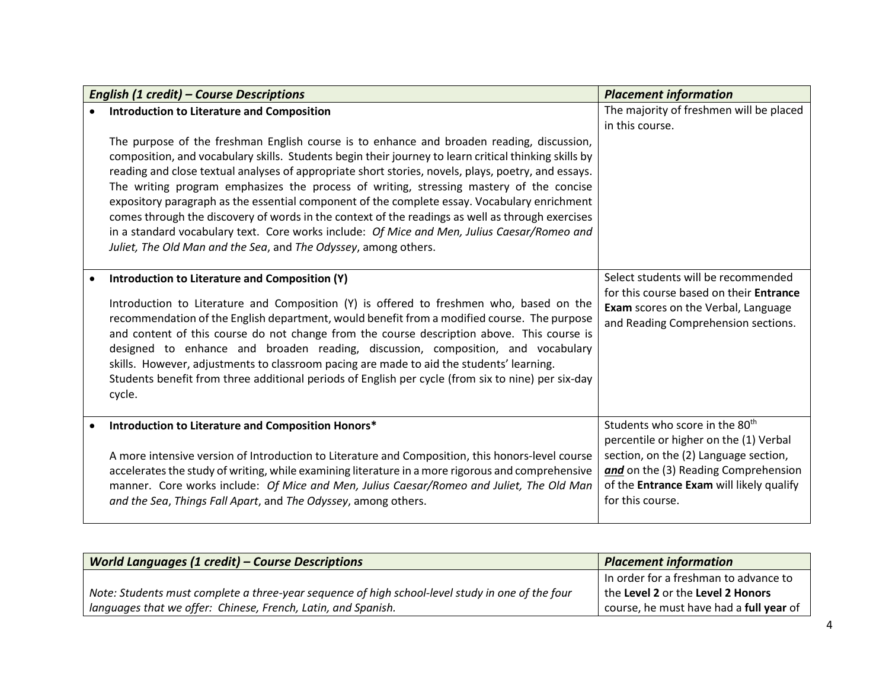| English (1 credit) - Course Descriptions                                                                                                                                                                                                                                                                                                                                                                                                                                                                                                                                                                                                                                                                                                                                   | <b>Placement information</b>                                                                                                                                                                                                          |
|----------------------------------------------------------------------------------------------------------------------------------------------------------------------------------------------------------------------------------------------------------------------------------------------------------------------------------------------------------------------------------------------------------------------------------------------------------------------------------------------------------------------------------------------------------------------------------------------------------------------------------------------------------------------------------------------------------------------------------------------------------------------------|---------------------------------------------------------------------------------------------------------------------------------------------------------------------------------------------------------------------------------------|
| <b>Introduction to Literature and Composition</b>                                                                                                                                                                                                                                                                                                                                                                                                                                                                                                                                                                                                                                                                                                                          | The majority of freshmen will be placed<br>in this course.                                                                                                                                                                            |
| The purpose of the freshman English course is to enhance and broaden reading, discussion,<br>composition, and vocabulary skills. Students begin their journey to learn critical thinking skills by<br>reading and close textual analyses of appropriate short stories, novels, plays, poetry, and essays.<br>The writing program emphasizes the process of writing, stressing mastery of the concise<br>expository paragraph as the essential component of the complete essay. Vocabulary enrichment<br>comes through the discovery of words in the context of the readings as well as through exercises<br>in a standard vocabulary text. Core works include: Of Mice and Men, Julius Caesar/Romeo and<br>Juliet, The Old Man and the Sea, and The Odyssey, among others. |                                                                                                                                                                                                                                       |
| Introduction to Literature and Composition (Y)<br>Introduction to Literature and Composition (Y) is offered to freshmen who, based on the<br>recommendation of the English department, would benefit from a modified course. The purpose<br>and content of this course do not change from the course description above. This course is<br>designed to enhance and broaden reading, discussion, composition, and vocabulary<br>skills. However, adjustments to classroom pacing are made to aid the students' learning.<br>Students benefit from three additional periods of English per cycle (from six to nine) per six-day<br>cycle.                                                                                                                                     | Select students will be recommended<br>for this course based on their Entrance<br>Exam scores on the Verbal, Language<br>and Reading Comprehension sections.                                                                          |
| Introduction to Literature and Composition Honors*<br>A more intensive version of Introduction to Literature and Composition, this honors-level course<br>accelerates the study of writing, while examining literature in a more rigorous and comprehensive<br>manner. Core works include: Of Mice and Men, Julius Caesar/Romeo and Juliet, The Old Man<br>and the Sea, Things Fall Apart, and The Odyssey, among others.                                                                                                                                                                                                                                                                                                                                                  | Students who score in the 80 <sup>th</sup><br>percentile or higher on the (1) Verbal<br>section, on the (2) Language section,<br>and on the (3) Reading Comprehension<br>of the Entrance Exam will likely qualify<br>for this course. |

| <b>World Languages (1 credit) - Course Descriptions</b>                                          | <b>Placement information</b>            |
|--------------------------------------------------------------------------------------------------|-----------------------------------------|
|                                                                                                  | In order for a freshman to advance to   |
| Note: Students must complete a three-year sequence of high school-level study in one of the four | the Level 2 or the Level 2 Honors       |
| languages that we offer: Chinese, French, Latin, and Spanish.                                    | course, he must have had a full year of |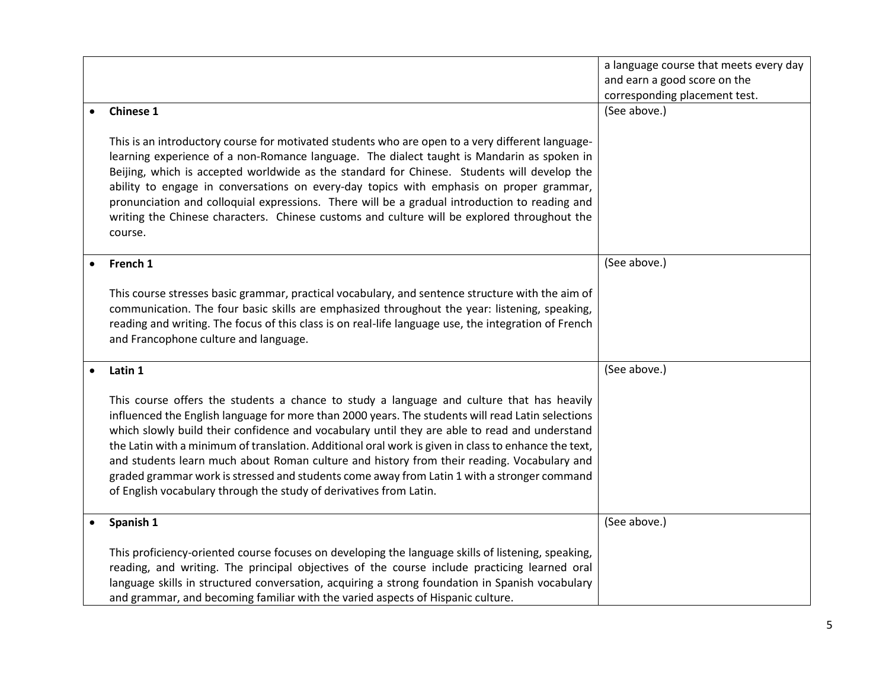|                                                                                                                                                                                                                                                                                                                                                                                                                                                                                                                                                                                                                                                                            | a language course that meets every day<br>and earn a good score on the |
|----------------------------------------------------------------------------------------------------------------------------------------------------------------------------------------------------------------------------------------------------------------------------------------------------------------------------------------------------------------------------------------------------------------------------------------------------------------------------------------------------------------------------------------------------------------------------------------------------------------------------------------------------------------------------|------------------------------------------------------------------------|
|                                                                                                                                                                                                                                                                                                                                                                                                                                                                                                                                                                                                                                                                            | corresponding placement test.                                          |
| <b>Chinese 1</b><br>$\bullet$                                                                                                                                                                                                                                                                                                                                                                                                                                                                                                                                                                                                                                              | (See above.)                                                           |
| This is an introductory course for motivated students who are open to a very different language-<br>learning experience of a non-Romance language. The dialect taught is Mandarin as spoken in<br>Beijing, which is accepted worldwide as the standard for Chinese. Students will develop the<br>ability to engage in conversations on every-day topics with emphasis on proper grammar,<br>pronunciation and colloquial expressions. There will be a gradual introduction to reading and<br>writing the Chinese characters. Chinese customs and culture will be explored throughout the<br>course.                                                                        |                                                                        |
| French 1<br>$\bullet$                                                                                                                                                                                                                                                                                                                                                                                                                                                                                                                                                                                                                                                      | (See above.)                                                           |
| This course stresses basic grammar, practical vocabulary, and sentence structure with the aim of<br>communication. The four basic skills are emphasized throughout the year: listening, speaking,<br>reading and writing. The focus of this class is on real-life language use, the integration of French<br>and Francophone culture and language.                                                                                                                                                                                                                                                                                                                         |                                                                        |
| Latin 1<br>$\bullet$                                                                                                                                                                                                                                                                                                                                                                                                                                                                                                                                                                                                                                                       | (See above.)                                                           |
| This course offers the students a chance to study a language and culture that has heavily<br>influenced the English language for more than 2000 years. The students will read Latin selections<br>which slowly build their confidence and vocabulary until they are able to read and understand<br>the Latin with a minimum of translation. Additional oral work is given in class to enhance the text,<br>and students learn much about Roman culture and history from their reading. Vocabulary and<br>graded grammar work is stressed and students come away from Latin 1 with a stronger command<br>of English vocabulary through the study of derivatives from Latin. |                                                                        |
| Spanish 1<br>$\bullet$                                                                                                                                                                                                                                                                                                                                                                                                                                                                                                                                                                                                                                                     | (See above.)                                                           |
| This proficiency-oriented course focuses on developing the language skills of listening, speaking,<br>reading, and writing. The principal objectives of the course include practicing learned oral<br>language skills in structured conversation, acquiring a strong foundation in Spanish vocabulary<br>and grammar, and becoming familiar with the varied aspects of Hispanic culture.                                                                                                                                                                                                                                                                                   |                                                                        |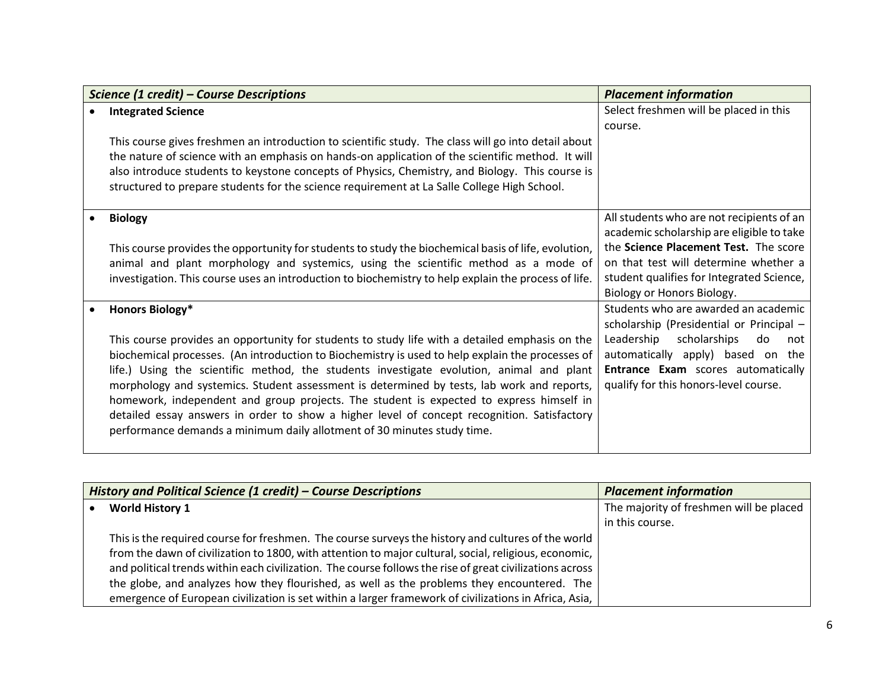|           | Science (1 credit) - Course Descriptions                                                             | <b>Placement information</b>              |
|-----------|------------------------------------------------------------------------------------------------------|-------------------------------------------|
| $\bullet$ | <b>Integrated Science</b>                                                                            | Select freshmen will be placed in this    |
|           |                                                                                                      | course.                                   |
|           | This course gives freshmen an introduction to scientific study. The class will go into detail about  |                                           |
|           | the nature of science with an emphasis on hands-on application of the scientific method. It will     |                                           |
|           | also introduce students to keystone concepts of Physics, Chemistry, and Biology. This course is      |                                           |
|           | structured to prepare students for the science requirement at La Salle College High School.          |                                           |
|           | <b>Biology</b>                                                                                       | All students who are not recipients of an |
|           |                                                                                                      | academic scholarship are eligible to take |
|           | This course provides the opportunity for students to study the biochemical basis of life, evolution, | the Science Placement Test. The score     |
|           | animal and plant morphology and systemics, using the scientific method as a mode of                  | on that test will determine whether a     |
|           | investigation. This course uses an introduction to biochemistry to help explain the process of life. | student qualifies for Integrated Science, |
|           |                                                                                                      | Biology or Honors Biology.                |
| $\bullet$ | Honors Biology*                                                                                      | Students who are awarded an academic      |
|           |                                                                                                      | scholarship (Presidential or Principal -  |
|           | This course provides an opportunity for students to study life with a detailed emphasis on the       | Leadership<br>scholarships<br>do<br>not   |
|           | biochemical processes. (An introduction to Biochemistry is used to help explain the processes of     | automatically apply) based on the         |
|           | life.) Using the scientific method, the students investigate evolution, animal and plant             | Entrance Exam scores automatically        |
|           | morphology and systemics. Student assessment is determined by tests, lab work and reports,           | qualify for this honors-level course.     |
|           | homework, independent and group projects. The student is expected to express himself in              |                                           |
|           | detailed essay answers in order to show a higher level of concept recognition. Satisfactory          |                                           |
|           | performance demands a minimum daily allotment of 30 minutes study time.                              |                                           |
|           |                                                                                                      |                                           |

| History and Political Science (1 credit) – Course Descriptions                                           | <b>Placement information</b>            |
|----------------------------------------------------------------------------------------------------------|-----------------------------------------|
| <b>World History 1</b>                                                                                   | The majority of freshmen will be placed |
|                                                                                                          | in this course.                         |
| This is the required course for freshmen. The course surveys the history and cultures of the world       |                                         |
| from the dawn of civilization to 1800, with attention to major cultural, social, religious, economic,    |                                         |
| and political trends within each civilization. The course follows the rise of great civilizations across |                                         |
| the globe, and analyzes how they flourished, as well as the problems they encountered. The               |                                         |
| emergence of European civilization is set within a larger framework of civilizations in Africa, Asia,    |                                         |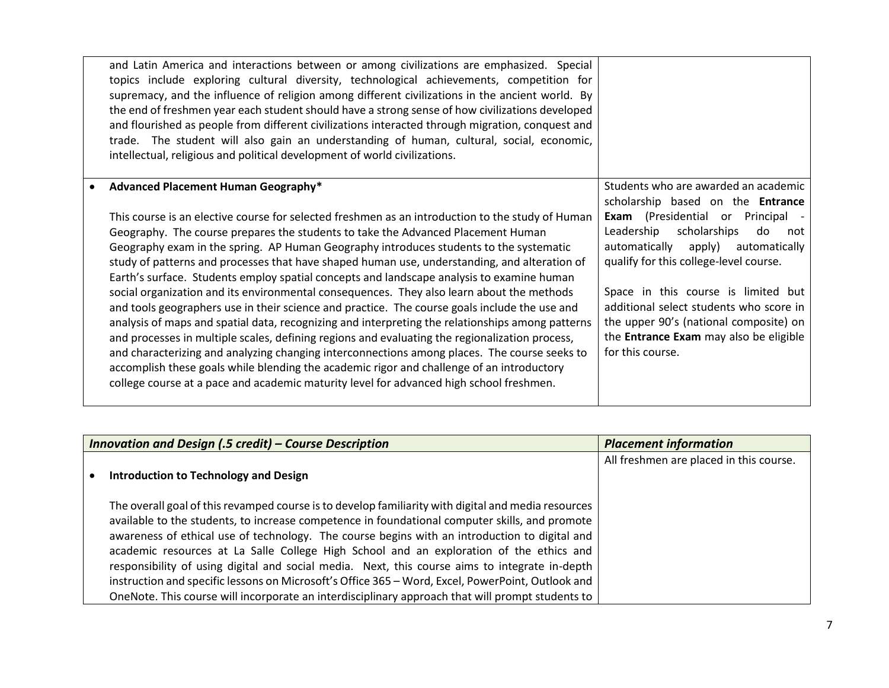| and Latin America and interactions between or among civilizations are emphasized. Special<br>topics include exploring cultural diversity, technological achievements, competition for<br>supremacy, and the influence of religion among different civilizations in the ancient world. By<br>the end of freshmen year each student should have a strong sense of how civilizations developed<br>and flourished as people from different civilizations interacted through migration, conquest and<br>trade. The student will also gain an understanding of human, cultural, social, economic,<br>intellectual, religious and political development of world civilizations.                                                                                                                                                                                                                                                                                                                                                                                                                                                                                                                                       |                                                                                                                                                                                                                                                                                                                                                                                                                                                            |
|----------------------------------------------------------------------------------------------------------------------------------------------------------------------------------------------------------------------------------------------------------------------------------------------------------------------------------------------------------------------------------------------------------------------------------------------------------------------------------------------------------------------------------------------------------------------------------------------------------------------------------------------------------------------------------------------------------------------------------------------------------------------------------------------------------------------------------------------------------------------------------------------------------------------------------------------------------------------------------------------------------------------------------------------------------------------------------------------------------------------------------------------------------------------------------------------------------------|------------------------------------------------------------------------------------------------------------------------------------------------------------------------------------------------------------------------------------------------------------------------------------------------------------------------------------------------------------------------------------------------------------------------------------------------------------|
| Advanced Placement Human Geography*<br>This course is an elective course for selected freshmen as an introduction to the study of Human<br>Geography. The course prepares the students to take the Advanced Placement Human<br>Geography exam in the spring. AP Human Geography introduces students to the systematic<br>study of patterns and processes that have shaped human use, understanding, and alteration of<br>Earth's surface. Students employ spatial concepts and landscape analysis to examine human<br>social organization and its environmental consequences. They also learn about the methods<br>and tools geographers use in their science and practice. The course goals include the use and<br>analysis of maps and spatial data, recognizing and interpreting the relationships among patterns<br>and processes in multiple scales, defining regions and evaluating the regionalization process,<br>and characterizing and analyzing changing interconnections among places. The course seeks to<br>accomplish these goals while blending the academic rigor and challenge of an introductory<br>college course at a pace and academic maturity level for advanced high school freshmen. | Students who are awarded an academic<br>scholarship based on the Entrance<br><b>Exam</b> (Presidential or<br>Principal -<br>scholarships<br>Leadership<br>do<br>not<br>apply)<br>automatically<br>automatically<br>qualify for this college-level course.<br>Space in this course is limited but<br>additional select students who score in<br>the upper 90's (national composite) on<br>the <b>Entrance Exam</b> may also be eligible<br>for this course. |

| Innovation and Design (.5 credit) - Course Description |                                                                                                     | <b>Placement information</b>            |
|--------------------------------------------------------|-----------------------------------------------------------------------------------------------------|-----------------------------------------|
|                                                        |                                                                                                     | All freshmen are placed in this course. |
|                                                        | Introduction to Technology and Design                                                               |                                         |
|                                                        |                                                                                                     |                                         |
|                                                        | The overall goal of this revamped course is to develop familiarity with digital and media resources |                                         |
|                                                        | available to the students, to increase competence in foundational computer skills, and promote      |                                         |
|                                                        | awareness of ethical use of technology. The course begins with an introduction to digital and       |                                         |
|                                                        | academic resources at La Salle College High School and an exploration of the ethics and             |                                         |
|                                                        | responsibility of using digital and social media. Next, this course aims to integrate in-depth      |                                         |
|                                                        | instruction and specific lessons on Microsoft's Office 365 - Word, Excel, PowerPoint, Outlook and   |                                         |
|                                                        | OneNote. This course will incorporate an interdisciplinary approach that will prompt students to    |                                         |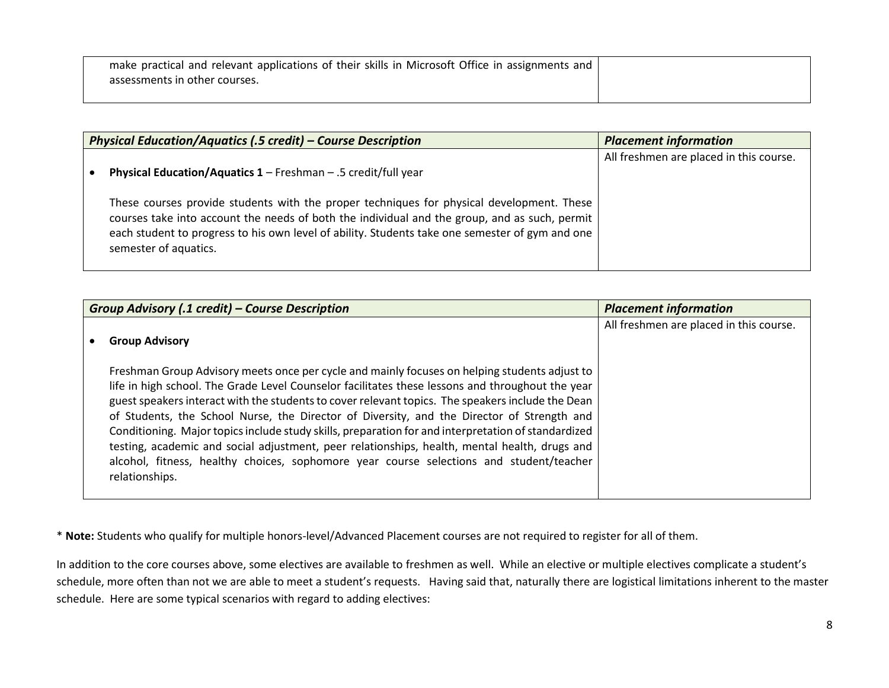| make practical and relevant applications of their skills in Microsoft Office in assignments and |  |
|-------------------------------------------------------------------------------------------------|--|
| assessments in other courses.                                                                   |  |
|                                                                                                 |  |

| <b>Physical Education/Aquatics (.5 credit) – Course Description</b>                                                                                                                                                                                                                                                    | <b>Placement information</b>            |
|------------------------------------------------------------------------------------------------------------------------------------------------------------------------------------------------------------------------------------------------------------------------------------------------------------------------|-----------------------------------------|
| Physical Education/Aquatics 1 - Freshman - .5 credit/full year                                                                                                                                                                                                                                                         | All freshmen are placed in this course. |
| These courses provide students with the proper techniques for physical development. These<br>courses take into account the needs of both the individual and the group, and as such, permit<br>each student to progress to his own level of ability. Students take one semester of gym and one<br>semester of aquatics. |                                         |

| Group Advisory (.1 credit) – Course Description                                                                                                                                                                                                                                                                                                                                                                                                                                                                                                                                                                                                                                                                           | <b>Placement information</b>            |
|---------------------------------------------------------------------------------------------------------------------------------------------------------------------------------------------------------------------------------------------------------------------------------------------------------------------------------------------------------------------------------------------------------------------------------------------------------------------------------------------------------------------------------------------------------------------------------------------------------------------------------------------------------------------------------------------------------------------------|-----------------------------------------|
| <b>Group Advisory</b>                                                                                                                                                                                                                                                                                                                                                                                                                                                                                                                                                                                                                                                                                                     | All freshmen are placed in this course. |
| Freshman Group Advisory meets once per cycle and mainly focuses on helping students adjust to<br>life in high school. The Grade Level Counselor facilitates these lessons and throughout the year<br>guest speakers interact with the students to cover relevant topics. The speakers include the Dean<br>of Students, the School Nurse, the Director of Diversity, and the Director of Strength and<br>Conditioning. Major topics include study skills, preparation for and interpretation of standardized<br>testing, academic and social adjustment, peer relationships, health, mental health, drugs and<br>alcohol, fitness, healthy choices, sophomore year course selections and student/teacher<br>relationships. |                                         |

\* **Note:** Students who qualify for multiple honors-level/Advanced Placement courses are not required to register for all of them.

In addition to the core courses above, some electives are available to freshmen as well. While an elective or multiple electives complicate a student's schedule, more often than not we are able to meet a student's requests. Having said that, naturally there are logistical limitations inherent to the master schedule. Here are some typical scenarios with regard to adding electives: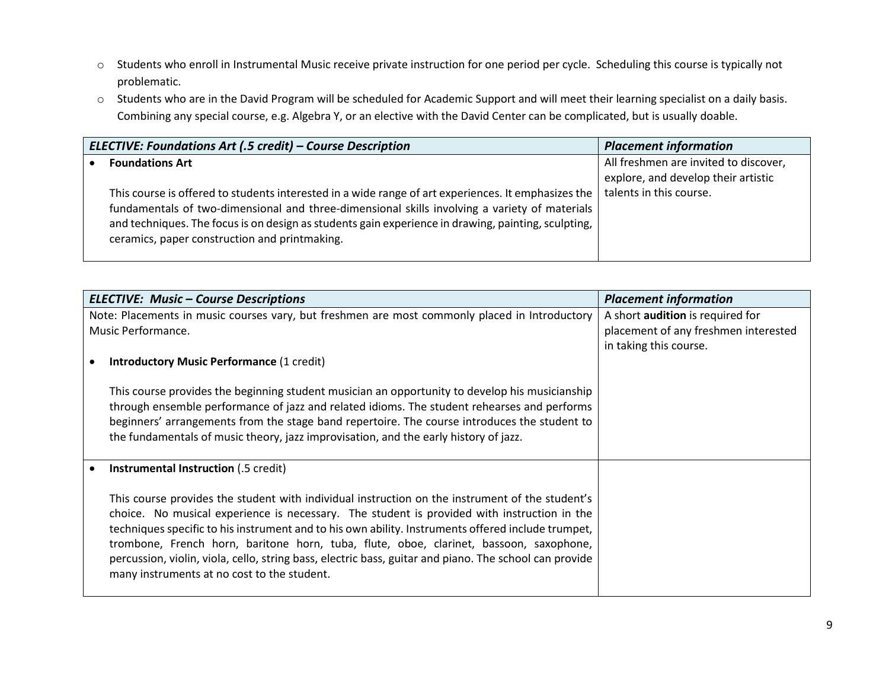- o Students who enroll in Instrumental Music receive private instruction for one period per cycle. Scheduling this course is typically not problematic.
- o Students who are in the David Program will be scheduled for Academic Support and will meet their learning specialist on a daily basis. Combining any special course, e.g. Algebra Y, or an elective with the David Center can be complicated, but is usually doable.

| ELECTIVE: Foundations Art (.5 credit) – Course Description                                                                                                                                                                                                                                                                                                                             | <b>Placement information</b>                                                                            |
|----------------------------------------------------------------------------------------------------------------------------------------------------------------------------------------------------------------------------------------------------------------------------------------------------------------------------------------------------------------------------------------|---------------------------------------------------------------------------------------------------------|
| <b>Foundations Art</b><br>This course is offered to students interested in a wide range of art experiences. It emphasizes the<br>fundamentals of two-dimensional and three-dimensional skills involving a variety of materials<br>and techniques. The focus is on design as students gain experience in drawing, painting, sculpting,<br>ceramics, paper construction and printmaking. | All freshmen are invited to discover,<br>explore, and develop their artistic<br>talents in this course. |

| <b>ELECTIVE: Music - Course Descriptions</b>                                                                                                                                                                                                                                                                                                                                                                                                                                                                                                            | <b>Placement information</b>                                                                       |
|---------------------------------------------------------------------------------------------------------------------------------------------------------------------------------------------------------------------------------------------------------------------------------------------------------------------------------------------------------------------------------------------------------------------------------------------------------------------------------------------------------------------------------------------------------|----------------------------------------------------------------------------------------------------|
| Note: Placements in music courses vary, but freshmen are most commonly placed in Introductory<br>Music Performance.                                                                                                                                                                                                                                                                                                                                                                                                                                     | A short audition is required for<br>placement of any freshmen interested<br>in taking this course. |
| <b>Introductory Music Performance (1 credit)</b>                                                                                                                                                                                                                                                                                                                                                                                                                                                                                                        |                                                                                                    |
| This course provides the beginning student musician an opportunity to develop his musicianship<br>through ensemble performance of jazz and related idioms. The student rehearses and performs<br>beginners' arrangements from the stage band repertoire. The course introduces the student to<br>the fundamentals of music theory, jazz improvisation, and the early history of jazz.                                                                                                                                                                   |                                                                                                    |
| <b>Instrumental Instruction (.5 credit)</b>                                                                                                                                                                                                                                                                                                                                                                                                                                                                                                             |                                                                                                    |
| This course provides the student with individual instruction on the instrument of the student's<br>choice. No musical experience is necessary. The student is provided with instruction in the<br>techniques specific to his instrument and to his own ability. Instruments offered include trumpet,<br>trombone, French horn, baritone horn, tuba, flute, oboe, clarinet, bassoon, saxophone,<br>percussion, violin, viola, cello, string bass, electric bass, guitar and piano. The school can provide<br>many instruments at no cost to the student. |                                                                                                    |